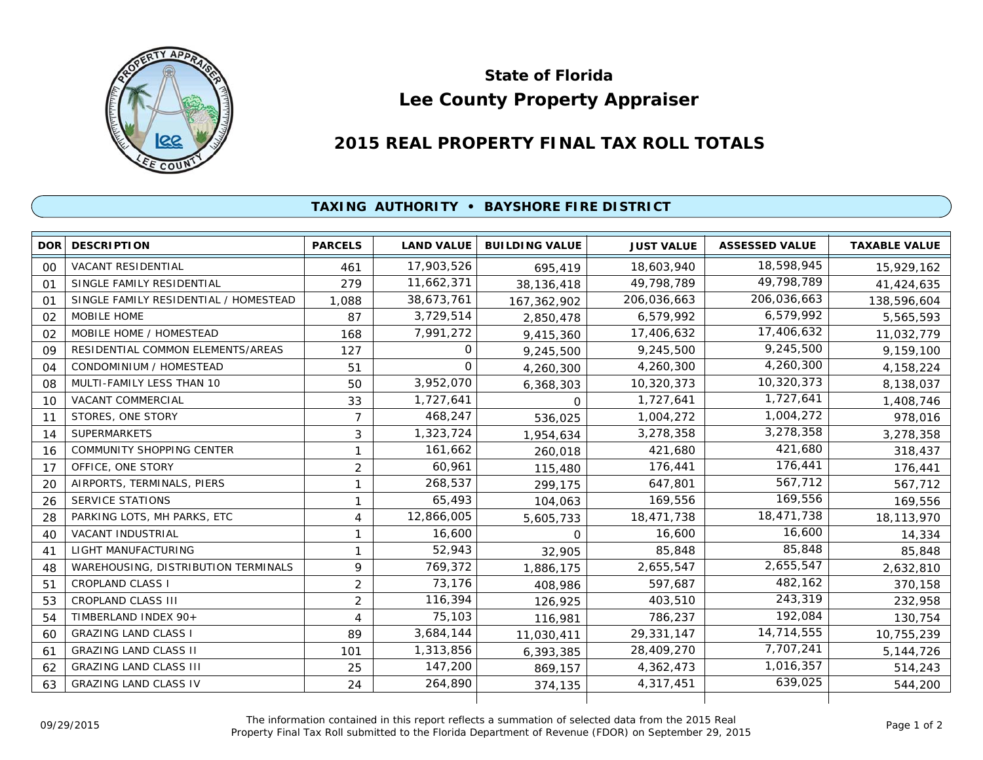

## **Lee County Property Appraiser State of Florida**

## **2015 REAL PROPERTY FINAL TAX ROLL TOTALS**

## **TAXING AUTHORITY • BAYSHORE FIRE DISTRICT**

| <b>DOR</b>     | <b>DESCRIPTION</b>                    | <b>PARCELS</b> | <b>LAND VALUE</b> | <b>BUILDING VALUE</b> | <b>JUST VALUE</b> | <b>ASSESSED VALUE</b> | <b>TAXABLE VALUE</b> |
|----------------|---------------------------------------|----------------|-------------------|-----------------------|-------------------|-----------------------|----------------------|
| 00             | <b>VACANT RESIDENTIAL</b>             | 461            | 17,903,526        | 695,419               | 18,603,940        | 18,598,945            | 15,929,162           |
| 01             | SINGLE FAMILY RESIDENTIAL             | 279            | 11,662,371        | 38,136,418            | 49,798,789        | 49,798,789            | 41,424,635           |
| $\Omega$ 1     | SINGLE FAMILY RESIDENTIAL / HOMESTEAD | 1,088          | 38,673,761        | 167,362,902           | 206,036,663       | 206,036,663           | 138,596,604          |
| 02             | MOBILE HOME                           | 87             | 3,729,514         | 2,850,478             | 6,579,992         | 6,579,992             | 5,565,593            |
| 02             | MOBILE HOME / HOMESTEAD               | 168            | 7,991,272         | 9,415,360             | 17,406,632        | 17,406,632            | 11,032,779           |
| 09             | RESIDENTIAL COMMON ELEMENTS/AREAS     | 127            | 0                 | 9,245,500             | 9,245,500         | 9,245,500             | 9,159,100            |
| O <sub>4</sub> | CONDOMINIUM / HOMESTEAD               | 51             | $\Omega$          | 4,260,300             | 4,260,300         | 4,260,300             | 4,158,224            |
| 08             | MULTI-FAMILY LESS THAN 10             | 50             | 3,952,070         | 6,368,303             | 10,320,373        | 10,320,373            | 8,138,037            |
| 10             | <b>VACANT COMMERCIAL</b>              | 33             | 1,727,641         | $\Omega$              | 1,727,641         | 1,727,641             | 1,408,746            |
| 11             | STORES, ONE STORY                     | $\overline{7}$ | 468,247           | 536,025               | 1,004,272         | 1,004,272             | 978,016              |
| 14             | <b>SUPERMARKETS</b>                   | 3              | 1,323,724         | 1,954,634             | 3,278,358         | 3,278,358             | 3,278,358            |
| 16             | COMMUNITY SHOPPING CENTER             | 1              | 161,662           | 260,018               | 421,680           | 421,680               | 318,437              |
| 17             | OFFICE, ONE STORY                     | $\overline{2}$ | 60,961            | 115,480               | 176,441           | 176,441               | 176,441              |
| 20             | AIRPORTS, TERMINALS, PIERS            | 1              | 268,537           | 299.175               | 647,801           | 567,712               | 567,712              |
| 26             | <b>SERVICE STATIONS</b>               | 1              | 65,493            | 104,063               | 169,556           | 169,556               | 169,556              |
| 28             | PARKING LOTS, MH PARKS, ETC           | 4              | 12,866,005        | 5,605,733             | 18,471,738        | 18,471,738            | 18,113,970           |
| 40             | <b>VACANT INDUSTRIAL</b>              | 1              | 16,600            | 0                     | 16,600            | 16,600                | 14,334               |
| 41             | LIGHT MANUFACTURING                   | 1              | 52,943            | 32,905                | 85,848            | 85,848                | 85,848               |
| 48             | WAREHOUSING, DISTRIBUTION TERMINALS   | 9              | 769,372           | 1,886,175             | 2,655,547         | 2,655,547             | 2,632,810            |
| 51             | <b>CROPLAND CLASS I</b>               | $\overline{2}$ | 73,176            | 408,986               | 597,687           | 482,162               | 370,158              |
| 53             | <b>CROPLAND CLASS III</b>             | $\overline{2}$ | 116,394           | 126,925               | 403,510           | 243,319               | 232,958              |
| 54             | TIMBERLAND INDEX 90+                  | 4              | 75,103            | 116,981               | 786,237           | 192,084               | 130,754              |
| 60             | <b>GRAZING LAND CLASS I</b>           | 89             | 3,684,144         | 11,030,411            | 29,331,147        | 14,714,555            | 10,755,239           |
| 61             | <b>GRAZING LAND CLASS II</b>          | 101            | 1,313,856         | 6,393,385             | 28,409,270        | 7,707,241             | 5,144,726            |
| 62             | <b>GRAZING LAND CLASS III</b>         | 25             | 147,200           | 869,157               | 4,362,473         | 1,016,357             | 514,243              |
| 63             | <b>GRAZING LAND CLASS IV</b>          | 24             | 264,890           | 374,135               | 4,317,451         | 639,025               | 544,200              |
|                |                                       |                |                   |                       |                   |                       |                      |

The information contained in this report reflects a summation of selected data from the 2015 Real Ine information contained in this report reflects a summation of selected data from the 2015 Real<br>Property Final Tax Roll submitted to the Florida Department of Revenue (FDOR) on September 29, 2015